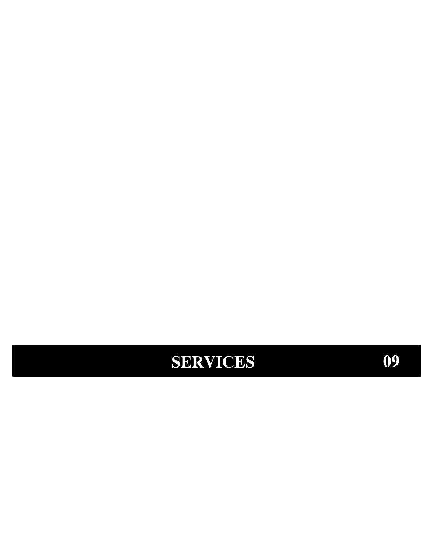# SERVICES

09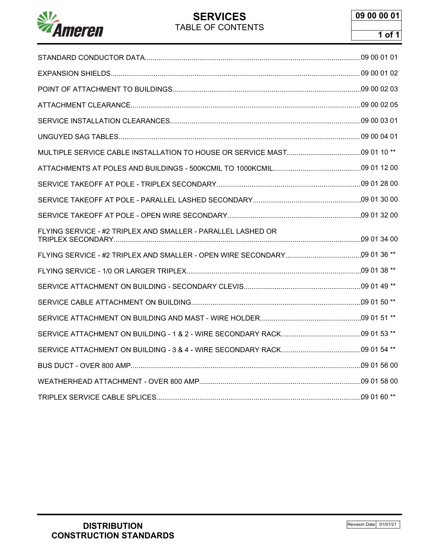

# **SERVICES** TABLE OF CONTENTS

| FLYING SERVICE - #2 TRIPLEX AND SMALLER - PARALLEL LASHED OR |  |
|--------------------------------------------------------------|--|
|                                                              |  |
|                                                              |  |
|                                                              |  |
|                                                              |  |
|                                                              |  |
|                                                              |  |
|                                                              |  |
|                                                              |  |
|                                                              |  |
|                                                              |  |
|                                                              |  |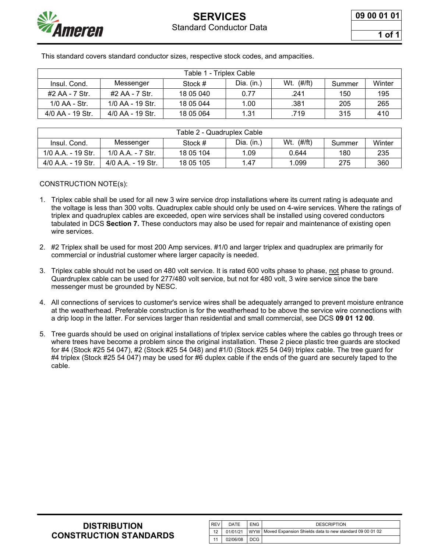

**1 of 1**

This standard covers standard conductor sizes, respective stock codes, and ampacities.

| Table 1 - Triplex Cable |                  |           |              |                      |        |        |
|-------------------------|------------------|-----------|--------------|----------------------|--------|--------|
| Insul. Cond.            | Messenger        | Stock #   | Dia. $(in.)$ | Wt. $(\#/\text{ft})$ | Summer | Winter |
| #2 AA - 7 Str.          | #2 AA - 7 Str.   | 18 05 040 | 0.77         | .241                 | 150    | 195    |
| $1/0$ AA - Str.         | 1/0 AA - 19 Str. | 18 05 044 | 1.00         | .381                 | 205    | 265    |
| 4/0 AA - 19 Str.        | 4/0 AA - 19 Str. | 18 05 064 | 1.31         | .719                 | 315    | 410    |

| Table 2 - Quadruplex Cable |                    |           |            |                      |        |        |
|----------------------------|--------------------|-----------|------------|----------------------|--------|--------|
| Insul. Cond.               | Messenger          | Stock #   | Dia. (in.) | Wt. $(\#/\text{ft})$ | Summer | Winter |
| 1/0 A.A. - 19 Str.         | 1/0 A.A. - 7 Str.  | 18 05 104 | 1.09       | 0.644                | 180    | 235    |
| 4/0 A.A. - 19 Str.         | 4/0 A.A. - 19 Str. | 18 05 105 | 1.47       | ∣.099                | 275    | 360    |

#### CONSTRUCTION NOTE(s):

- 1. Triplex cable shall be used for all new 3 wire service drop installations where its current rating is adequate and the voltage is less than 300 volts. Quadruplex cable should only be used on 4-wire services. Where the ratings of triplex and quadruplex cables are exceeded, open wire services shall be installed using covered conductors tabulated in DCS **Section 7.** These conductors may also be used for repair and maintenance of existing open wire services.
- 2. #2 Triplex shall be used for most 200 Amp services. #1/0 and larger triplex and quadruplex are primarily for commercial or industrial customer where larger capacity is needed.
- 3. Triplex cable should not be used on 480 volt service. It is rated 600 volts phase to phase, not phase to ground. Quardruplex cable can be used for 277/480 volt service, but not for 480 volt, 3 wire service since the bare messenger must be grounded by NESC.
- 4. All connections of services to customer's service wires shall be adequately arranged to prevent moisture entrance at the weatherhead. Preferable construction is for the weatherhead to be above the service wire connections with a drip loop in the latter. For services larger than residential and small commercial, see DCS **09 01 12 00**.
- 5. Tree guards should be used on original installations of triplex service cables where the cables go through trees or where trees have become a problem since the original installation. These 2 piece plastic tree guards are stocked for #4 (Stock #25 54 047), #2 (Stock #25 54 048) and #1/0 (Stock #25 54 049) triplex cable. The tree guard for #4 triplex (Stock #25 54 047) may be used for #6 duplex cable if the ends of the guard are securely taped to the cable.

| <b>DISTRIBUTION</b>           |
|-------------------------------|
| <b>CONSTRUCTION STANDARDS</b> |

| <b>REV</b> | DATE     | <b>ENG</b> | <b>DESCRIPTION</b>                                               |
|------------|----------|------------|------------------------------------------------------------------|
| 12         | 01/01/21 |            | I WYW I Moved Expansion Shields data to new standard 09 00 01 02 |
|            | 02/06/08 | DCG        |                                                                  |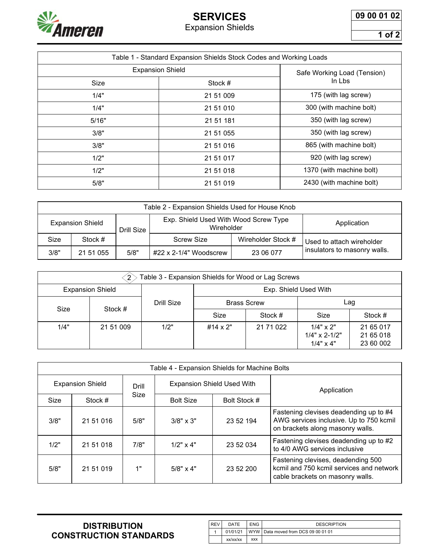

# **SERVICES** Expansion Shields

**09 00 01 02**

**1 of 2**

|       | Table 1 - Standard Expansion Shields Stock Codes and Working Loads |                             |
|-------|--------------------------------------------------------------------|-----------------------------|
|       |                                                                    |                             |
|       | <b>Expansion Shield</b>                                            | Safe Working Load (Tension) |
| Size  | Stock #                                                            | In Lbs                      |
| 1/4"  | 21 51 009                                                          | 175 (with lag screw)        |
| 1/4"  | 21 51 010                                                          | 300 (with machine bolt)     |
| 5/16" | 21 51 181                                                          | 350 (with lag screw)        |
| 3/8"  | 21 51 055                                                          | 350 (with lag screw)        |
| 3/8"  | 21 51 016                                                          | 865 (with machine bolt)     |
| 1/2"  | 21 51 017                                                          | 920 (with lag screw)        |
| 1/2"  | 21 51 018                                                          | 1370 (with machine bolt)    |
| 5/8"  | 21 51 019                                                          | 2430 (with machine bolt)    |

| Table 2 - Expansion Shields Used for House Knob |           |            |                                                     |                    |                              |
|-------------------------------------------------|-----------|------------|-----------------------------------------------------|--------------------|------------------------------|
| <b>Expansion Shield</b>                         |           | Drill Size | Exp. Shield Used With Wood Screw Type<br>Wireholder |                    | Application                  |
| Size                                            | Stock #   |            | Screw Size                                          | Wireholder Stock # | Used to attach wireholder    |
| 3/8"                                            | 21 51 055 | 5/8"       | #22 x 2-1/4" Woodscrew                              | 23 06 077          | insulators to masonry walls. |

| Table 3 - Expansion Shields for Wood or Lag Screws |                         |            |                 |                    |                                                                |                                     |  |
|----------------------------------------------------|-------------------------|------------|-----------------|--------------------|----------------------------------------------------------------|-------------------------------------|--|
|                                                    | <b>Expansion Shield</b> |            |                 |                    | Exp. Shield Used With                                          |                                     |  |
|                                                    | Size<br>Stock #         | Drill Size |                 | <b>Brass Screw</b> |                                                                | Lag                                 |  |
|                                                    |                         |            | Size            | Stock #            | Size                                                           | Stock #                             |  |
| 1/4"                                               | 21 51 009               | 1/2"       | $#14 \times 2"$ | 21 71 022          | $1/4" \times 2"$<br>$1/4" \times 2 - 1/2"$<br>$1/4" \times 4"$ | 21 65 017<br>21 65 018<br>23 60 002 |  |

|                         | Table 4 - Expansion Shields for Machine Bolts |       |                                   |              |                                                                                                                       |  |  |
|-------------------------|-----------------------------------------------|-------|-----------------------------------|--------------|-----------------------------------------------------------------------------------------------------------------------|--|--|
| <b>Expansion Shield</b> |                                               | Drill | <b>Expansion Shield Used With</b> |              | Application                                                                                                           |  |  |
| Size                    | Stock #                                       | Size  | <b>Bolt Size</b>                  | Bolt Stock # |                                                                                                                       |  |  |
| 3/8"                    | 21 51 016                                     | 5/8"  | $3/8" \times 3"$                  | 23 52 194    | Fastening clevises deadending up to #4<br>AWG services inclusive. Up to 750 kcmil<br>on brackets along masonry walls. |  |  |
| 1/2"                    | 21 51 018                                     | 7/8"  | $1/2" \times 4"$                  | 23 52 034    | Fastening clevises deadending up to #2<br>to 4/0 AWG services inclusive                                               |  |  |
| 5/8"                    | 21 51 019                                     | 1"    | $5/8" \times 4"$                  | 23 52 200    | Fastening clevises, deadending 500<br>kcmil and 750 kcmil services and network<br>cable brackets on masonry walls.    |  |  |

| <b>REV</b> | DATE     | <b>ENG</b> | <b>DESCRIPTION</b>                    |
|------------|----------|------------|---------------------------------------|
|            | 01/01/21 |            | WYW   Data moved from DCS 09 00 01 01 |
|            | xx/xx/xx | <b>XXX</b> |                                       |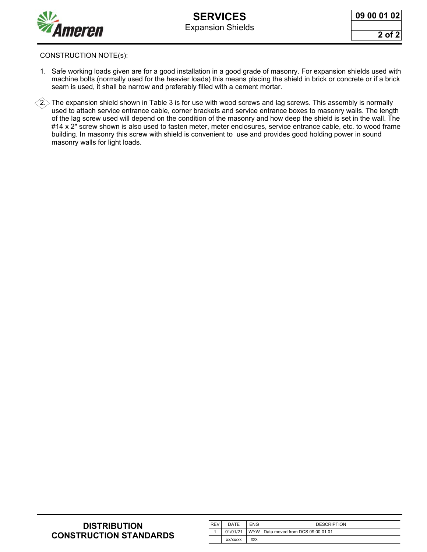

**09 00 01 02**

**2 of 2**

#### CONSTRUCTION NOTE(s):

- 1. Safe working loads given are for a good installation in a good grade of masonry. For expansion shields used with machine bolts (normally used for the heavier loads) this means placing the shield in brick or concrete or if a brick seam is used, it shall be narrow and preferably filled with a cement mortar.
- $(2)$ . The expansion shield shown in Table 3 is for use with wood screws and lag screws. This assembly is normally used to attach service entrance cable, corner brackets and service entrance boxes to masonry walls. The length of the lag screw used will depend on the condition of the masonry and how deep the shield is set in the wall. The #14 x 2" screw shown is also used to fasten meter, meter enclosures, service entrance cable, etc. to wood frame building. In masonry this screw with shield is convenient to use and provides good holding power in sound masonry walls for light loads.

| <b>REV</b> | DATE     | <b>ENG</b> | <b>DESCRIPTION</b>                  |
|------------|----------|------------|-------------------------------------|
|            | 01/01/21 |            | WYW Data moved from DCS 09 00 01 01 |
|            | xx/xx/xx | <b>XXX</b> |                                     |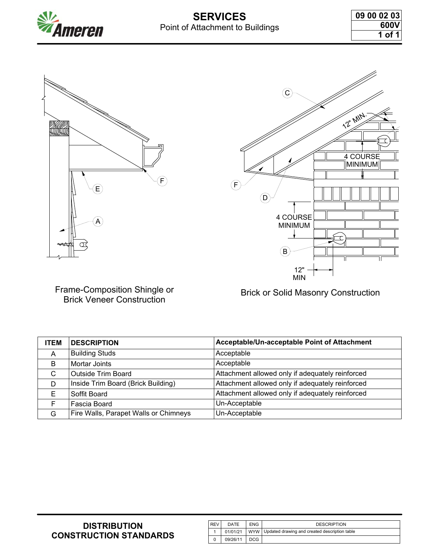



Frame-Composition Shingle or Brick Veneer Construction



Brick or Solid Masonry Construction

**ITEM DESCRIPTION Acceptable/Un-acceptable Point of Attachment** A Building Studs Acceptable B | Mortar Joints Acceptable | Acceptable C Outside Trim Board Attachment allowed only if adequately reinforced D | Inside Trim Board (Brick Building) | Attachment allowed only if adequately reinforced E Soffit Board **Attachment allowed only if adequately reinforced** F Fascia Board Vn-Acceptable G Fire Walls, Parapet Walls or Chimneys | Un-Acceptable

| <b>REV</b> | DATE     | <b>ENG</b> | <b>DESCRIPTION</b>                                             |
|------------|----------|------------|----------------------------------------------------------------|
|            |          |            | 01/01/21   WYW   Updated drawing and created description table |
|            | 09/26/11 | DCG        |                                                                |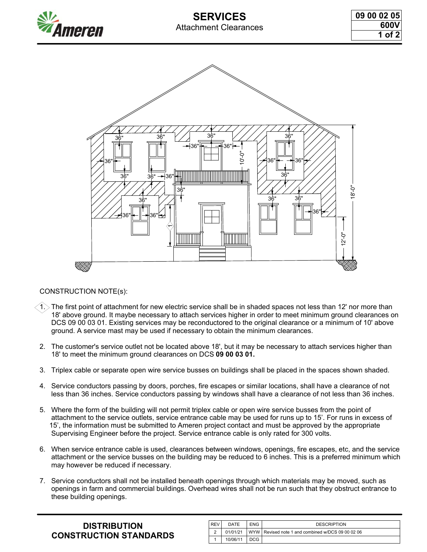

# **SERVICES** Attachment Clearances

**09 00 02 05 600V 1 of 2**



#### CONSTRUCTION NOTE(s):

- 1. $>$  The first point of attachment for new electric service shall be in shaded spaces not less than 12' nor more than 18' above ground. It maybe necessary to attach services higher in order to meet minimum ground clearances on DCS 09 00 03 01. Existing services may be reconductored to the original clearance or a minimum of 10' above ground. A service mast may be used if necessary to obtain the minimum clearances.
- 2. The customer's service outlet not be located above 18', but it may be necessary to attach services higher than 18' to meet the minimum ground clearances on DCS **09 00 03 01.**
- 3. Triplex cable or separate open wire service busses on buildings shall be placed in the spaces shown shaded.
- 4. Service conductors passing by doors, porches, fire escapes or similar locations, shall have a clearance of not less than 36 inches. Service conductors passing by windows shall have a clearance of not less than 36 inches.
- 5. Where the form of the building will not permit triplex cable or open wire service busses from the point of attachment to the service outlets, service entrance cable may be used for runs up to 15'. For runs in excess of 15', the information must be submitted to Ameren project contact and must be approved by the appropriate Supervising Engineer before the project. Service entrance cable is only rated for 300 volts.
- 6. When service entrance cable is used, clearances between windows, openings, fire escapes, etc, and the service attachment or the service busses on the building may be reduced to 6 inches. This is a preferred minimum which may however be reduced if necessary.
- 7. Service conductors shall not be installed beneath openings through which materials may be moved, such as openings in farm and commercial buildings. Overhead wires shall not be run such that they obstruct entrance to these building openings.

| <b>DISTRIBUTION</b>           |
|-------------------------------|
| <b>CONSTRUCTION STANDARDS</b> |

| <b>REV</b> | DATE     | <b>ENG</b> | <b>DESCRIPTION</b>                                |
|------------|----------|------------|---------------------------------------------------|
| 2          | 01/01/21 |            | WYW Revised note 1 and combined w/DCS 09 00 02 06 |
|            | 10/06/11 | DCG.       |                                                   |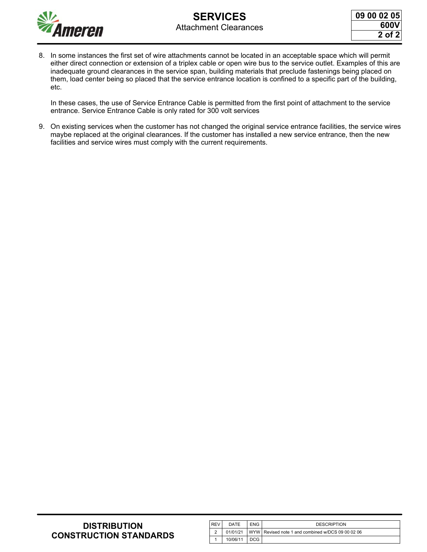

8. In some instances the first set of wire attachments cannot be located in an acceptable space which will permit either direct connection or extension of a triplex cable or open wire bus to the service outlet. Examples of this are inadequate ground clearances in the service span, building materials that preclude fastenings being placed on them, load center being so placed that the service entrance location is confined to a specific part of the building, etc.

 In these cases, the use of Service Entrance Cable is permitted from the first point of attachment to the service entrance. Service Entrance Cable is only rated for 300 volt services

9. On existing services when the customer has not changed the original service entrance facilities, the service wires maybe replaced at the original clearances. If the customer has installed a new service entrance, then the new facilities and service wires must comply with the current requirements.

| <b>REV</b> | DATE     | <b>ENG</b> | <b>DESCRIPTION</b>                                |
|------------|----------|------------|---------------------------------------------------|
| ົ          | 01/01/21 |            | WYW Revised note 1 and combined w/DCS 09 00 02 06 |
|            | 10/06/11 | DCG.       |                                                   |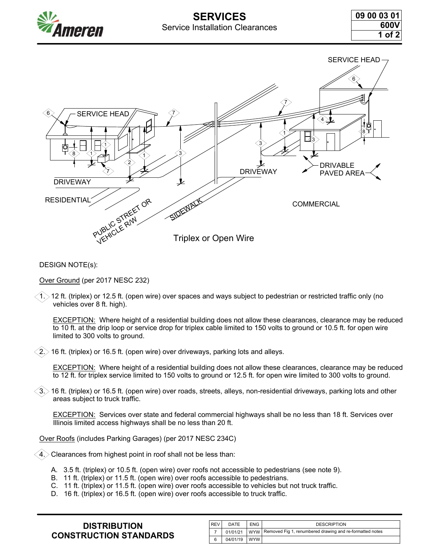



DESIGN NOTE(s):

Over Ground (per 2017 NESC 232)

 $>$  12 ft. (triplex) or 12.5 ft. (open wire) over spaces and ways subject to pedestrian or restricted traffic only (no vehicles over 8 ft. high).

 EXCEPTION: Where height of a residential building does not allow these clearances, clearance may be reduced to 10 ft. at the drip loop or service drop for triplex cable limited to 150 volts to ground or 10.5 ft. for open wire limited to 300 volts to ground.

 $>$  16 ft. (triplex) or 16.5 ft. (open wire) over driveways, parking lots and alleys.

EXCEPTION: Where height of a residential building does not allow these clearances, clearance may be reduced to 12 ft. for triplex service limited to 150 volts to ground or 12.5 ft. for open wire limited to 300 volts to ground.

 $>$  16 ft. (triplex) or 16.5 ft. (open wire) over roads, streets, alleys, non-residential driveways, parking lots and other areas subject to truck traffic.

 EXCEPTION: Services over state and federal commercial highways shall be no less than 18 ft. Services over Illinois limited access highways shall be no less than 20 ft.

Over Roofs (includes Parking Garages) (per 2017 NESC 234C)

4. Clearances from highest point in roof shall not be less than:

- A. 3.5 ft. (triplex) or 10.5 ft. (open wire) over roofs not accessible to pedestrians (see note 9).
- B. 11 ft. (triplex) or 11.5 ft. (open wire) over roofs accessible to pedestrians.
- C. 11 ft. (triplex) or 11.5 ft. (open wire) over roofs accessible to vehicles but not truck traffic.
- D. 16 ft. (triplex) or 16.5 ft. (open wire) over roofs accessible to truck traffic.

| <b>DISTRIBUTION</b>           |  |  |  |  |  |
|-------------------------------|--|--|--|--|--|
| <b>CONSTRUCTION STANDARDS</b> |  |  |  |  |  |

| <b>REV</b> | DATE     | <b>ENG</b> | <b>DESCRIPTION</b>                                                        |
|------------|----------|------------|---------------------------------------------------------------------------|
|            |          |            | 01/01/21   WYW   Removed Fig 1, renumbered drawing and re-formatted notes |
| 6          | 04/01/19 | l wyw l    |                                                                           |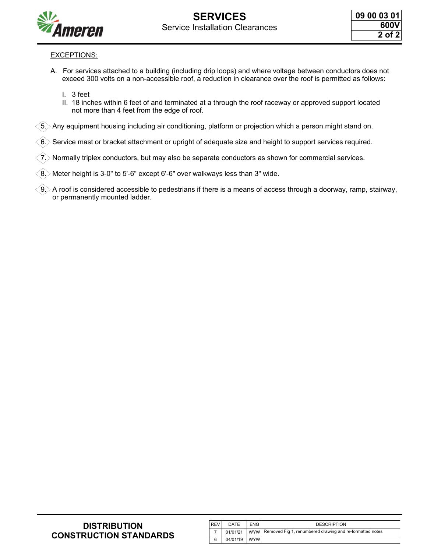

#### EXCEPTIONS:

- A. For services attached to a building (including drip loops) and where voltage between conductors does not exceed 300 volts on a non-accessible roof, a reduction in clearance over the roof is permitted as follows:
	- I. 3 feet
	- II. 18 inches within 6 feet of and terminated at a through the roof raceway or approved support located not more than 4 feet from the edge of roof.

 $\lesssim$  Any equipment housing including air conditioning, platform or projection which a person might stand on.

Service mast or bracket attachment or upright of adequate size and height to support services required.

7. Normally triplex conductors, but may also be separate conductors as shown for commercial services.

 $(8)$  Meter height is 3-0" to 5'-6" except 6'-6" over walkways less than 3" wide.

 $\gtrsim$  A roof is considered accessible to pedestrians if there is a means of access through a doorway, ramp, stairway, or permanently mounted ladder.

| <b>REV</b> | DATE     | <b>ENG</b> | <b>DESCRIPTION</b>                                                        |
|------------|----------|------------|---------------------------------------------------------------------------|
|            |          |            | 01/01/21   WYW   Removed Fig 1, renumbered drawing and re-formatted notes |
| 6          | 04/01/19 | wyw l      |                                                                           |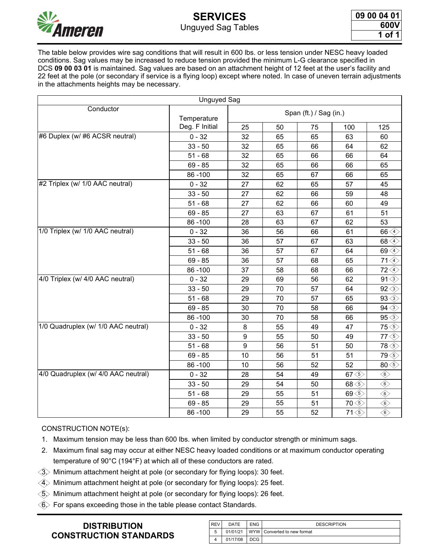

# **SERVICES** Unguyed Sag Tables

| <b>09 00 04 01</b> |        |  |
|--------------------|--------|--|
|                    | 600V   |  |
|                    | 1 of 1 |  |

The table below provides wire sag conditions that will result in 600 lbs. or less tension under NESC heavy loaded conditions. Sag values may be increased to reduce tension provided the minimum L-G clearance specified in DCS **09 00 03 01** is maintained. Sag values are based on an attachment height of 12 feet at the user's facility and 22 feet at the pole (or secondary if service is a flying loop) except where noted. In case of uneven terrain adjustments in the attachments heights may be necessary.

|                                     | <b>Unguyed Sag</b> |                  |    |                        |                                                                  |                                     |
|-------------------------------------|--------------------|------------------|----|------------------------|------------------------------------------------------------------|-------------------------------------|
| Conductor                           | Temperature        |                  |    | Span (ft.) / Sag (in.) |                                                                  |                                     |
|                                     | Deg. F Initial     | 25               | 50 | 75                     | 100                                                              | 125                                 |
| #6 Duplex (w/ #6 ACSR neutral)      | $0 - 32$           | 32               | 65 | 65                     | 63                                                               | 60                                  |
|                                     | $33 - 50$          | 32               | 65 | 66                     | 64                                                               | 62                                  |
|                                     | $51 - 68$          | 32               | 65 | 66                     | 66                                                               | 64                                  |
|                                     | $69 - 85$          | 32               | 65 | 66                     | 66                                                               | 65                                  |
|                                     | 86-100             | 32               | 65 | 67                     | 66                                                               | 65                                  |
| #2 Triplex (w/ 1/0 AAC neutral)     | $0 - 32$           | 27               | 62 | 65                     | 57                                                               | 45                                  |
|                                     | $33 - 50$          | 27               | 62 | 66                     | 59                                                               | 48                                  |
|                                     | $51 - 68$          | 27               | 62 | 66                     | 60                                                               | 49                                  |
|                                     | $69 - 85$          | 27               | 63 | 67                     | 61                                                               | 51                                  |
|                                     | 86-100             | 28               | 63 | 67                     | 62                                                               | 53                                  |
| 1/0 Triplex (w/ 1/0 AAC neutral)    | $0 - 32$           | 36               | 56 | 66                     | 61                                                               | $66\left\langle 4 \right\rangle$    |
|                                     | $33 - 50$          | 36               | 57 | 67                     | 63                                                               | 68 <sup>4</sup>                     |
|                                     | $51 - 68$          | 36               | 57 | 67                     | 64                                                               | $69\left\langle 4 \right\rangle$    |
|                                     | $69 - 85$          | 36               | 57 | 68                     | 65                                                               | $71\left\langle 4 \right\rangle$    |
|                                     | 86-100             | 37               | 58 | 68                     | 66                                                               | $72\&$                              |
| 4/0 Triplex (w/ 4/0 AAC neutral)    | $0 - 32$           | 29               | 69 | 56                     | 62                                                               | $91\textcircled{3}$                 |
|                                     | $33 - 50$          | 29               | 70 | 57                     | 64                                                               | $92 \diamondsuit$                   |
|                                     | $51 - 68$          | 29               | 70 | 57                     | 65                                                               | $93 \diamond 3$                     |
|                                     | $69 - 85$          | 30               | 70 | 58                     | 66                                                               | $94 \diamondsuit$                   |
|                                     | 86-100             | 30               | 70 | 58                     | 66                                                               | $95\textcircled{3}$                 |
| 1/0 Quadruplex (w/ 1/0 AAC neutral) | $0 - 32$           | 8                | 55 | 49                     | 47                                                               | $75\left\langle\right\rangle$       |
|                                     | $33 - 50$          | 9                | 55 | 50                     | 49                                                               | $77\left\langle\right\rangle$       |
|                                     | $51 - 68$          | $\boldsymbol{9}$ | 56 | 51                     | 50                                                               | 78 <sup>6</sup>                     |
|                                     | $69 - 85$          | 10               | 56 | 51                     | 51                                                               | $79\&$                              |
|                                     | 86-100             | 10               | 56 | 52                     | 52                                                               | $80\overline{\diamondsuit}$         |
| 4/0 Quadruplex (w/ 4/0 AAC neutral) | $0 - 32$           | 28               | 54 | 49                     | 67 <sub>5</sub>                                                  | $\textcircled{\scriptsize\circ}$    |
|                                     | $33 - 50$          | 29               | 54 | 50                     | 68 <sub>5</sub>                                                  | $\overline{\textcircled{\tiny 6}}$  |
|                                     | $51 - 68$          | 29               | 55 | 51                     | 69 <sup>6</sup>                                                  | $\textcircled{\scriptsize\diamond}$ |
|                                     | $69 - 85$          | 29               | 55 | 51                     | $70 \textcircled{\scriptsize\textcircled{\scriptsize\textcirc}}$ | $\overline{\textcircled{\tiny 6}}$  |
|                                     | 86-100             | 29               | 55 | 52                     | $71\text{\textcircled{s}}$                                       | $\overline{\langle 6 \rangle}$      |

#### CONSTRUCTION NOTE(s):

- 1. Maximum tension may be less than 600 lbs. when limited by conductor strength or minimum sags.
- 2. Maximum final sag may occur at either NESC heavy loaded conditions or at maximum conductor operating temperature of 90°C (194°F) at which all of these conductors are rated.
- $\langle\widehat{3}\rangle$  Minimum attachment height at pole (or secondary for flying loops): 30 feet.
- $\langle {\hat 4} \rangle$  Minimum attachment height at pole (or secondary for flying loops): 25 feet.
- $\langle \widehat{5} \rangle$  Minimum attachment height at pole (or secondary for flying loops): 26 feet.
- $\langle 6 \rangle$  For spans exceeding those in the table please contact Standards.

| I REV | DATE     | <b>ENG</b> | <b>DESCRIPTION</b>          |
|-------|----------|------------|-----------------------------|
| 5     | 01/01/21 |            | WYW Converted to new format |
|       | 01/17/08 | DCG        |                             |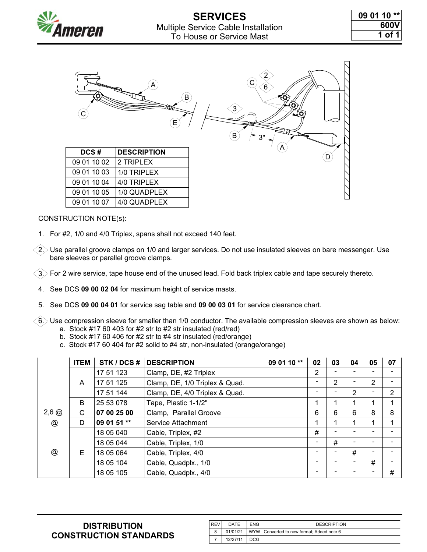



1. For #2, 1/0 and 4/0 Triplex, spans shall not exceed 140 feet.

 $2$ . Use parallel groove clamps on 1/0 and larger services. Do not use insulated sleeves on bare messenger. Use bare sleeves or parallel groove clamps.

 $\langle 3 \rangle$  For 2 wire service, tape house end of the unused lead. Fold back triplex cable and tape securely thereto.

- 4. See DCS **09 00 02 04** for maximum height of service masts.
- 5. See DCS **09 00 04 01** for service sag table and **09 00 03 01** for service clearance chart.

 $\sim$  6. $>$  Use compression sleeve for smaller than 1/0 conductor. The available compression sleeves are shown as below: a. Stock #17 60 403 for #2 str to #2 str insulated (red/red)

- b. Stock #17 60 406 for #2 str to #4 str insulated (red/orange)
- c. Stock #17 60 404 for #2 solid to #4 str, non-insulated (orange/orange)

|                      | <b>ITEM</b> | STK / DCS # | <b>DESCRIPTION</b>             | 09 01 10 ** | 02 | 03 | 04             | 05 | 07 |
|----------------------|-------------|-------------|--------------------------------|-------------|----|----|----------------|----|----|
|                      |             | 17 51 123   | Clamp, DE, #2 Triplex          |             | 2  |    |                |    |    |
|                      | A           | 17 51 125   | Clamp, DE, 1/0 Triplex & Quad. |             | -  | 2  |                | 2  |    |
|                      |             | 17 51 144   | Clamp, DE, 4/0 Triplex & Quad. |             |    |    | $\overline{2}$ |    | 2  |
|                      | B           | 25 53 078   | Tape, Plastic 1-1/2"           |             | 1  |    |                | 4  | и  |
| $2,6$ $@$            | C           | 07 00 25 00 | Clamp, Parallel Groove         |             | 6  | 6  | 6              | 8  | 8  |
| $^{\textregistered}$ | D           | 09 01 51 ** | Service Attachment             |             | 1  | ◢  |                |    | 4  |
|                      |             | 18 05 040   | Cable, Triplex, #2             |             | #  |    |                |    |    |
|                      |             | 18 05 044   | Cable, Triplex, 1/0            |             | -  | #  |                |    |    |
| @                    | E           | 18 05 064   | Cable, Triplex, 4/0            |             | -  |    | #              |    |    |
|                      |             | 18 05 104   | Cable, Quadplx., 1/0           |             | -  |    |                | #  |    |
|                      |             | 18 05 105   | Cable, Quadplx., 4/0           |             |    |    |                |    | #  |

| . REV | DATE     | <b>ENG</b> | <b>DESCRIPTION</b>                          |
|-------|----------|------------|---------------------------------------------|
| 8     | 01/01/21 |            | WYW   Converted to new format; Added note 6 |
|       | 12/27/11 | DCG        |                                             |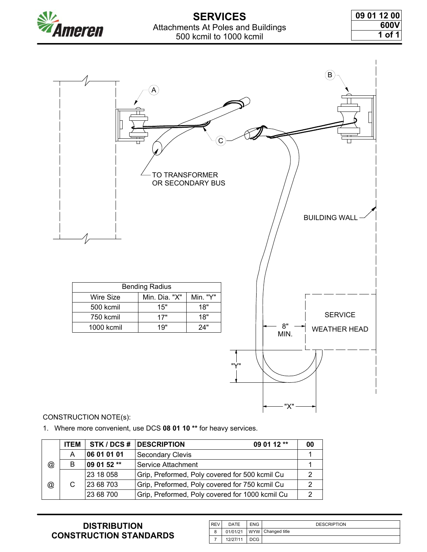

# **SERVICES** Attachments At Poles and Buildings 500 kcmil to 1000 kcmil

| 09 01 12 00 |
|-------------|
| 600V        |
| 1 of 1 l    |

 $\overline{1}$ 

|                         | A<br>П<br>TO TRANSFORMER | OR SECONDARY BUS |                    | $\bigcirc$<br>$\Box$<br><b>BUILDING WAL</b> |
|-------------------------|--------------------------|------------------|--------------------|---------------------------------------------|
|                         | <b>Bending Radius</b>    |                  |                    |                                             |
| Wire Size               | Min. Dia. "X"            | Min. "Y"         |                    |                                             |
| 500 kcmil               | 15"                      | 18"              |                    | <b>SERVICE</b>                              |
| 750 kcmil<br>1000 kcmil | 17"<br>19"               | 18"<br>24"       | $8"$               |                                             |
|                         |                          |                  | MIN.<br>"Y"<br>"X" | <b>WEATHER HEAD</b>                         |

#### CONSTRUCTION NOTE(s):

1. Where more convenient, use DCS **08 01 10 \*\*** for heavy services.

|   | <b>ITEM</b> | STK / DCS # | 09 01 12 **<br><b>DESCRIPTION</b>               | 00 |
|---|-------------|-------------|-------------------------------------------------|----|
|   | A           | 06 01 01 01 | <b>Secondary Clevis</b>                         |    |
| @ | B           | 09 01 52 ** | Service Attachment                              |    |
|   |             | 23 18 058   | Grip, Preformed, Poly covered for 500 kcmil Cu  | 2  |
| @ | C           | 23 68 703   | Grip, Preformed, Poly covered for 750 kcmil Cu  | 2  |
|   |             | 23 68 700   | Grip, Preformed, Poly covered for 1000 kcmil Cu | ◠  |

| <b>REV</b> | DATE     | <b>ENG</b> | <b>DESCRIPTION</b>  |
|------------|----------|------------|---------------------|
| 8          | 01/01/21 |            | WYW   Changed title |
|            | 12/27/11 | DCG        |                     |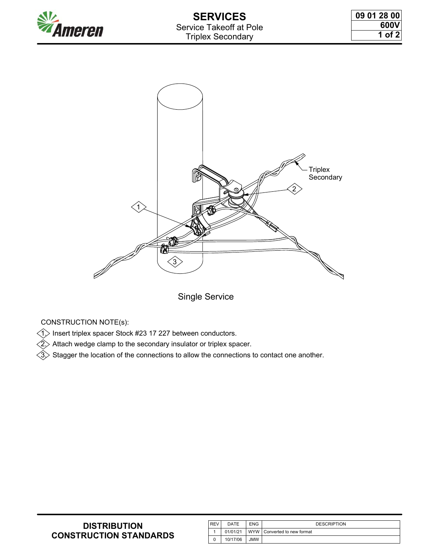



Single Service

CONSTRUCTION NOTE(s):

 $\textcircled{1}$  Insert triplex spacer Stock #23 17 227 between conductors.

 $\widehat{2}$  Attach wedge clamp to the secondary insulator or triplex spacer.

 $\langle {\hat 3} \rangle$  Stagger the location of the connections to allow the connections to contact one another.

| <b>DISTRIBUTION</b>           |
|-------------------------------|
| <b>CONSTRUCTION STANDARDS</b> |

| l REV | DATE     | <b>ENG</b> | <b>DESCRIPTION</b>            |
|-------|----------|------------|-------------------------------|
|       | 01/01/21 |            | WYW   Converted to new format |
| 0     | 10/17/06 | JMW        |                               |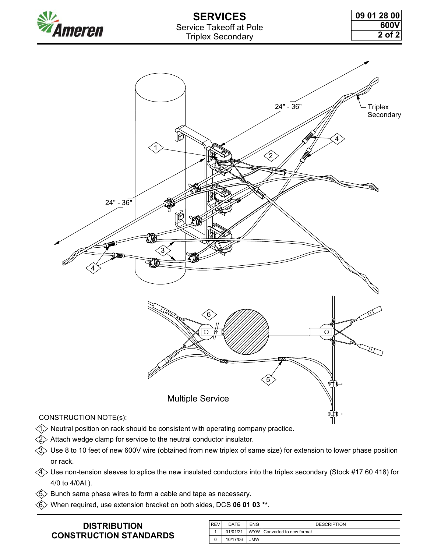

# **SERVICES** Service Takeoff at Pole Triplex Secondary



- $\triangleleft$   $>$  Neutral position on rack should be consistent with operating company practice.
- $\langle\hat{2}\rangle$  Attach wedge clamp for service to the neutral conductor insulator.
- $\langle$ 3 $\rangle$  Use 8 to 10 feet of new 600V wire (obtained from new triplex of same size) for extension to lower phase position or rack.
- $\langle 4 \rangle$  Use non-tension sleeves to splice the new insulated conductors into the triplex secondary (Stock #17 60 418) for 4/0 to 4/0Al.).
- $\textcircled{s}\textcirc$  Bunch same phase wires to form a cable and tape as necessary.
- $\langle 6 \rangle$  When required, use extension bracket on both sides, DCS 06 01 03 \*\*.

| <b>REV</b> | DATE     | <b>ENG</b> | <b>DESCRIPTION</b>            |
|------------|----------|------------|-------------------------------|
|            | 01/01/21 |            | WYW   Converted to new format |
| $\Omega$   | 10/17/06 | <b>JMW</b> |                               |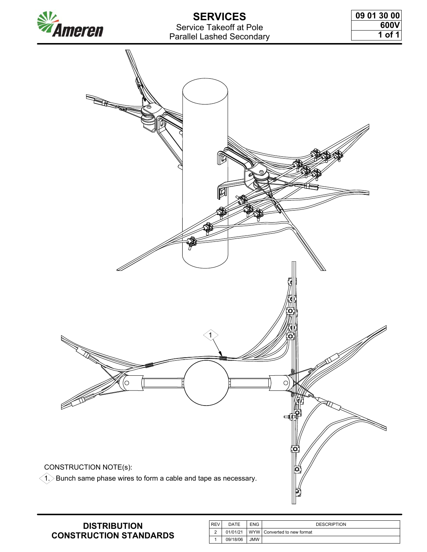

# **SERVICES** Service Takeoff at Pole Parallel Lashed Secondary

| 09 01 30 00 |
|-------------|
| 600V        |
| 1 of 1      |



| <b>REV</b> | DATE     | <b>ENG</b> | <b>DESCRIPTION</b>          |
|------------|----------|------------|-----------------------------|
| ◠          | 01/01/21 |            | WYW Converted to new format |
|            | 09/18/06 | JMW        |                             |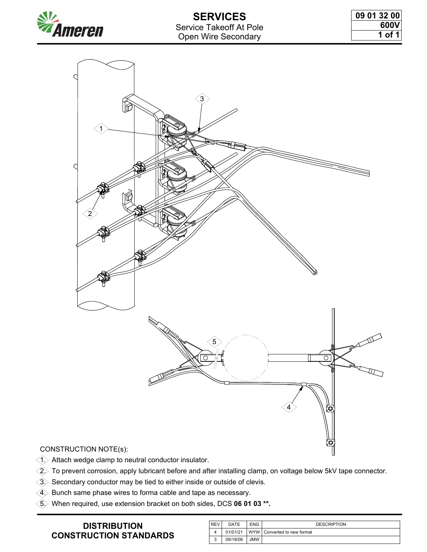



 $\langle$ 1 $\rangle$  Attach wedge clamp to neutral conductor insulator.

 $\hat{Q}$  To prevent corrosion, apply lubricant before and after installing clamp, on voltage below 5kV tape connector.

 $\textcircled{3}$  Secondary conductor may be tied to either inside or outside of clevis.

 $\langle 4 \rangle$  Bunch same phase wires to forma cable and tape as necessary.

5. When required, use extension bracket on both sides, DCS **06 01 03 \*\*.**

| i REV  | DATE     | <b>ENG</b> | <b>DESCRIPTION</b>            |
|--------|----------|------------|-------------------------------|
|        | 01/01/21 |            | WYW I Converted to new format |
| ີ<br>ັ | 09/18/06 | <b>WML</b> |                               |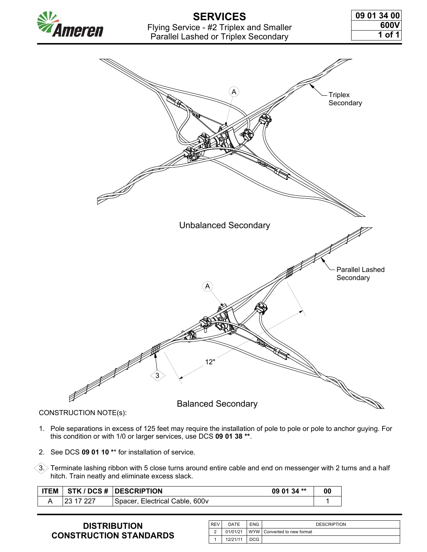

# **SERVICES** Flying Service - #2 Triplex and Smaller Parallel Lashed or Triplex Secondary

| 09 01 34 00 |  |  |        |
|-------------|--|--|--------|
|             |  |  | 600V   |
|             |  |  | 1 of 1 |



CONSTRUCTION NOTE(s):

- 1. Pole separations in excess of 125 feet may require the installation of pole to pole or pole to anchor guying. For this condition or with 1/0 or larger services, use DCS **09 01 38 \*\***.
- 2. See DCS **09 01 10 \***\* for installation of service.

 $\langle\!\langle 3. \rangle$  Terminate lashing ribbon with 5 close turns around entire cable and end on messenger with 2 turns and a half hitch. Train neatly and eliminate excess slack.

| <b>ITEM</b> | 09 01 34 **<br><b>STK / DCS #  DESCRIPTION</b> | 00 |
|-------------|------------------------------------------------|----|
|             | Spacer, Electrical Cable, 600v                 |    |

| <sup>I</sup> REV | DATE     | <b>ENG</b> | <b>DESCRIPTION</b>            |
|------------------|----------|------------|-------------------------------|
| $\sim$           | 01/01/21 |            | WYW   Converted to new format |
|                  | 12/21/11 | DCG        |                               |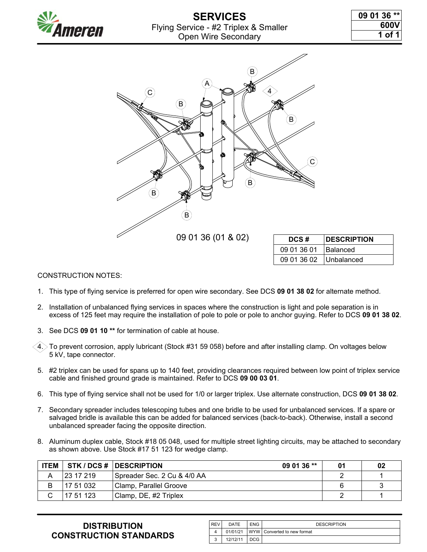

# **SERVICES** Flying Service - #2 Triplex & Smaller Open Wire Secondary

| 09 01 36 ** |  |        |
|-------------|--|--------|
|             |  | 600V   |
|             |  | 1 of 1 |



| DCS#                     | <b>IDESCRIPTION</b> |
|--------------------------|---------------------|
| 09 01 36 01              | <b>Balanced</b>     |
| 09 01 36 02   Unbalanced |                     |

#### CONSTRUCTION NOTES:

- 1. This type of flying service is preferred for open wire secondary. See DCS **09 01 38 02** for alternate method.
- 2. Installation of unbalanced flying services in spaces where the construction is light and pole separation is in excess of 125 feet may require the installation of pole to pole or pole to anchor guying. Refer to DCS **09 01 38 02**.
- 3. See DCS **09 01 10 \*\*** for termination of cable at house.
- $\sim$  4. $>$  To prevent corrosion, apply lubricant (Stock #31 59 058) before and after installing clamp. On voltages below 5 kV, tape connector.
- 5. #2 triplex can be used for spans up to 140 feet, providing clearances required between low point of triplex service cable and finished ground grade is maintained. Refer to DCS **09 00 03 01**.
- 6. This type of flying service shall not be used for 1/0 or larger triplex. Use alternate construction, DCS **09 01 38 02**.
- 7. Secondary spreader includes telescoping tubes and one bridle to be used for unbalanced services. If a spare or salvaged bridle is available this can be added for balanced services (back-to-back). Otherwise, install a second unbalanced spreader facing the opposite direction.
- 8. Aluminum duplex cable, Stock #18 05 048, used for multiple street lighting circuits, may be attached to secondary as shown above. Use Stock #17 51 123 for wedge clamp.

| <b>ITEM</b> |                   | <b>STK / DCS #  DESCRIPTION</b><br>09 01 36 ** | 01 | 02 |
|-------------|-------------------|------------------------------------------------|----|----|
| A           | $ 2317219\rangle$ | Spreader Sec. 2 Cu & 4/0 AA                    |    |    |
| B           | 17 51 032         | Clamp, Parallel Groove                         |    |    |
|             | 17 51 123         | Clamp, DE, #2 Triplex                          |    |    |

| <b>IREV</b> | DATE     | <b>ENG</b> | <b>DESCRIPTION</b>            |
|-------------|----------|------------|-------------------------------|
|             | 01/01/21 |            | WYW   Converted to new format |
| u           | 12/12/11 | DCG        |                               |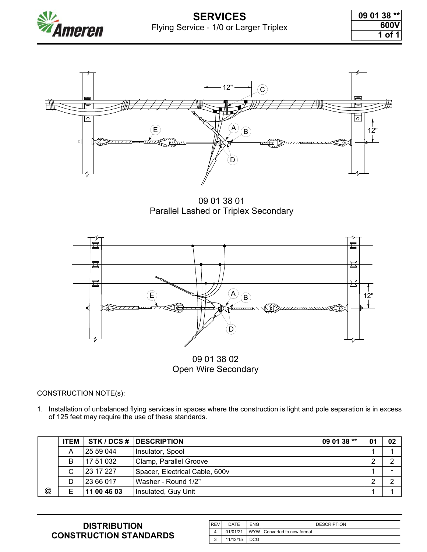



09 01 38 01 Parallel Lashed or Triplex Secondary



1. Installation of unbalanced flying services in spaces where the construction is light and pole separation is in excess of 125 feet may require the use of these standards.

|                      | <b>ITEM</b> |             | 09 01 38 **<br>STK / DCS # DESCRIPTION | 01 | 02 |
|----------------------|-------------|-------------|----------------------------------------|----|----|
|                      | A           | 25 59 044   | Insulator, Spool                       |    |    |
|                      | B           | 17 51 032   | Clamp, Parallel Groove                 | ◠  | ◠  |
|                      | C           | 23 17 227   | Spacer, Electrical Cable, 600v         |    |    |
|                      | D           | 23 66 017   | Washer - Round 1/2"                    | ◠  | ⌒  |
| $^{\textregistered}$ | Е           | 11 00 46 03 | Insulated, Guy Unit                    |    |    |

| <b>REV</b> | DATE     | <b>ENG</b> | <b>DESCRIPTION</b>              |
|------------|----------|------------|---------------------------------|
|            | 01/01/21 |            | I WYW I Converted to new format |
| $\sqrt{2}$ | 11/12/15 | DCG        |                                 |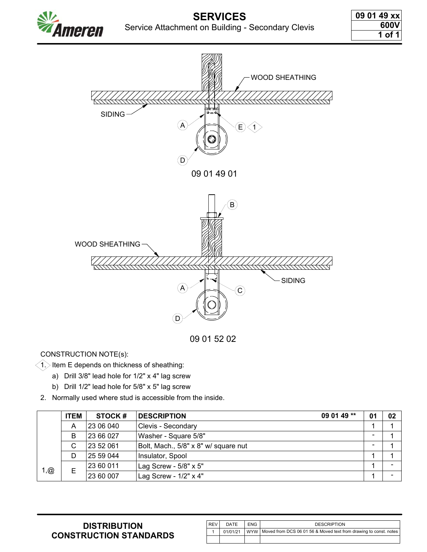

09 01 52 02

CONSTRUCTION NOTE(s):

 $\bigtriangleup$  Item E depends on thickness of sheathing:

- a) Drill 3/8" lead hole for 1/2" x 4" lag screw
- b) Drill 1/2" lead hole for 5/8" x 5" lag screw
- 2. Normally used where stud is accessible from the inside.

|      | <b>ITEM</b> | STOCK#    | $090149**$<br><b>DESCRIPTION</b>     | 01                       | 02                       |
|------|-------------|-----------|--------------------------------------|--------------------------|--------------------------|
|      | A           | 23 06 040 | Clevis - Secondary                   |                          |                          |
|      | B           | 23 66 027 | Washer - Square 5/8"                 | $\overline{\phantom{0}}$ |                          |
|      | С           | 23 52 061 | Bolt, Mach., 5/8" x 8" w/ square nut | $\overline{\phantom{0}}$ |                          |
|      | D           | 25 59 044 | Insulator, Spool                     |                          |                          |
| 1, @ |             | 23 60 011 | Lag Screw - 5/8" x 5"                |                          |                          |
|      | Е           | 23 60 007 | Lag Screw - 1/2" x 4"                |                          | $\overline{\phantom{0}}$ |

| l REV | DATE     | <b>ENG</b> | <b>DESCRIPTION</b>                                                      |
|-------|----------|------------|-------------------------------------------------------------------------|
|       | 01/01/21 |            | WYW   Moved from DCS 06 01 56 & Moved text from drawing to const. notes |
|       |          |            |                                                                         |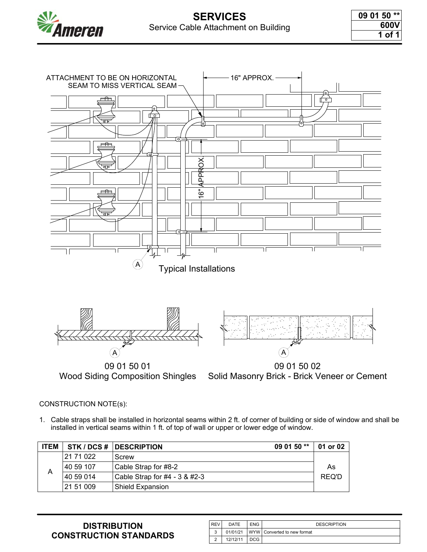



Solid Masonry Brick - Brick Veneer or Cement

#### CONSTRUCTION NOTE(s):

1. Cable straps shall be installed in horizontal seams within 2 ft. of corner of building or side of window and shall be installed in vertical seams within 1 ft. of top of wall or upper or lower edge of window.

| <b>ITEM</b> |           | STK / DCS #   DESCRIPTION<br>09 01 50 ** | 01 or 02 |
|-------------|-----------|------------------------------------------|----------|
|             | 21 71 022 | Screw                                    |          |
| А           | 40 59 107 | Cable Strap for #8-2                     | As       |
|             | 40 59 014 | Cable Strap for #4 - 3 & #2-3            | REQ'D    |
|             | 21 51 009 | Shield Expansion                         |          |

| <b>REV</b> | DATE     | <b>ENG</b> | <b>DESCRIPTION</b>            |
|------------|----------|------------|-------------------------------|
| ົ          | 01/01/21 |            | WYW   Converted to new format |
|            | 12/12/11 | DCG        |                               |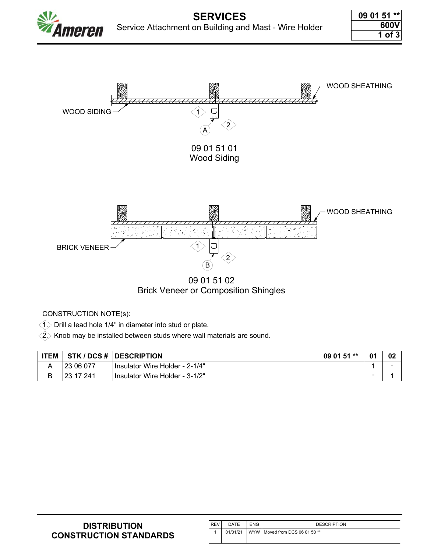



 $\hat{a}>$  Drill a lead hole 1/4" in diameter into stud or plate.

 $\hat{2}$  Knob may be installed between studs where wall materials are sound.

| <b>ITEM</b>  |           | STK / DCS #   DESCRIPTION<br>09 01 51 ** | 01 | 02 |
|--------------|-----------|------------------------------------------|----|----|
| $\mathsf{A}$ | 23 06 077 | Insulator Wire Holder - 2-1/4"           |    |    |
| В            | 23 17 241 | Insulator Wire Holder - 3-1/2"           |    |    |

| <b>DISTRIBUTION</b>           |
|-------------------------------|
| <b>CONSTRUCTION STANDARDS</b> |

| <b>REV</b> | DATE     | <b>ENG</b> | <b>DESCRIPTION</b>                 |
|------------|----------|------------|------------------------------------|
|            | 01/01/21 |            | I WYW I Moved from DCS 06 01 50 ** |
|            |          |            |                                    |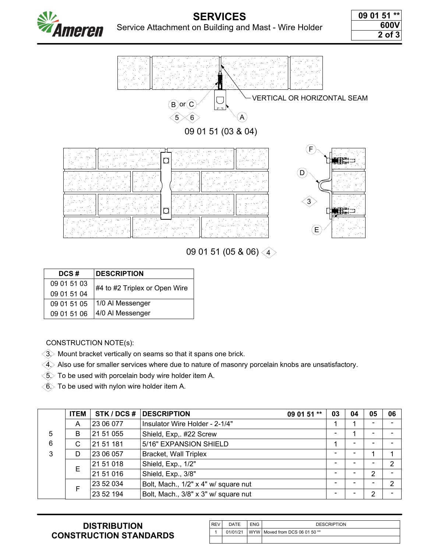



09 01 51 (05 & 06) 4

| DCS#        | <b>DESCRIPTION</b>            |  |  |  |  |
|-------------|-------------------------------|--|--|--|--|
| 09 01 51 03 | #4 to #2 Triplex or Open Wire |  |  |  |  |
| 09 01 51 04 |                               |  |  |  |  |
| 09 01 51 05 | 1/0 Al Messenger              |  |  |  |  |
| 09 01 51 06 | 4/0 Al Messenger              |  |  |  |  |

CONSTRUCTION NOTE(s):

 $\langle 3 \rangle$  Mount bracket vertically on seams so that it spans one brick.

 $\hat{e}(\hat{4})$  Also use for smaller services where due to nature of masonry porcelain knobs are unsatisfactory.

 $\textcircled{\textsc{i}}$  To be used with porcelain body wire holder item A.

 $\langle \widehat{6} \rangle$  To be used with nylon wire holder item A.

|   | <b>ITEM</b> | STK / DCS # | <b>DESCRIPTION</b><br>09 01 51 **    | 03             | 04                       | 05 | 06             |
|---|-------------|-------------|--------------------------------------|----------------|--------------------------|----|----------------|
|   | A           | 23 06 077   | Insulator Wire Holder - 2-1/4"       |                |                          |    |                |
| 5 | B           | 21 51 055   | Shield, Exp,. #22 Screw              | -              |                          |    |                |
| 6 | C           | 21 51 181   | 5/16" EXPANSION SHIELD               |                | $\overline{\phantom{0}}$ |    |                |
| 3 | D           | 23 06 057   | <b>Bracket, Wall Triplex</b>         | $\blacksquare$ |                          |    |                |
|   | Е           | 21 51 018   | Shield, Exp., 1/2"                   | -              |                          |    | 2              |
|   |             | 21 51 016   | Shield, Exp., 3/8"                   | -              |                          | 2  |                |
|   | F           | 23 52 034   | Bolt, Mach., 1/2" x 4" w/ square nut |                |                          |    | $\overline{2}$ |
|   |             | 23 52 194   | Bolt, Mach., 3/8" x 3" w/ square nut |                |                          | 2  |                |

| l REV | DATE     | <b>ENG</b> | <b>DESCRIPTION</b>                 |
|-------|----------|------------|------------------------------------|
|       | 01/01/21 |            | I WYW   Moved from DCS 06 01 50 ** |
|       |          |            |                                    |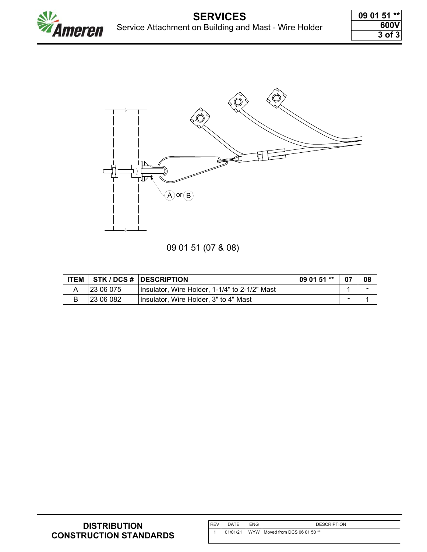

# 09 01 51 (07 & 08)

| <b>ITEM</b> |           | STK/DCS #  DESCRIPTION<br>09 01 51 **         | 07             | 08             |
|-------------|-----------|-----------------------------------------------|----------------|----------------|
|             | 23 06 075 | Insulator, Wire Holder, 1-1/4" to 2-1/2" Mast |                | $\blacksquare$ |
|             | 23 06 082 | Insulator, Wire Holder, 3" to 4" Mast         | $\blacksquare$ |                |

| <b>REV</b> | <b>DATE</b> | <b>ENG</b> | <b>DESCRIPTION</b>               |
|------------|-------------|------------|----------------------------------|
|            | 01/01/21    |            | WYW   Moved from DCS 06 01 50 ** |
|            |             |            |                                  |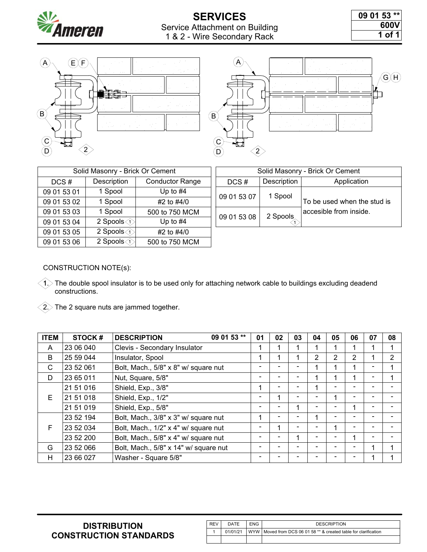

# **SERVICES** Service Attachment on Building 1 & 2 - Wire Secondary Rack

| 09 01 53 ** |        |
|-------------|--------|
|             | 600V   |
|             | 1 of 1 |



| Solid Masonry - Brick Or Cement |                                             |                        |  |  |  |  |  |
|---------------------------------|---------------------------------------------|------------------------|--|--|--|--|--|
| DCS#                            | Description                                 | <b>Conductor Range</b> |  |  |  |  |  |
| 09 01 53 01                     | 1 Spool                                     | Up to $#4$             |  |  |  |  |  |
| 09 01 53 02                     | 1 Spool                                     | #2 to #4/0             |  |  |  |  |  |
| 09 01 53 03                     | 1 Spool                                     | 500 to 750 MCM         |  |  |  |  |  |
| 09 01 53 04                     | 2 Spools $\textcircled{\scriptsize\char'1}$ | Up to $#4$             |  |  |  |  |  |
| 09 01 53 05                     | 2 Spools $\textcircled{1}$                  | #2 to #4/0             |  |  |  |  |  |
| 09 01 53 06                     | 2 Spools (1)                                | 500 to 750 MCM         |  |  |  |  |  |

|                      | rick Or Cement         | Solid Masonry - Brick Or Cement |             |                             |  |
|----------------------|------------------------|---------------------------------|-------------|-----------------------------|--|
|                      | <b>Conductor Range</b> | $DCS \#$                        | Description | Application                 |  |
|                      | Up to $#4$             | 09 01 53 07                     | 1 Spool     |                             |  |
|                      | #2 to #4/0             |                                 |             | To be used when the stud is |  |
|                      | 500 to 750 MCM         | 09 01 53 08                     | 2 Spools    | accesible from inside.      |  |
| $\overline{\hat{L}}$ | Up to $#4$             |                                 |             |                             |  |

#### CONSTRUCTION NOTE(s):

- 1. The double spool insulator is to be used only for attaching network cable to buildings excluding deadend constructions.
- $\langle 2 \rangle$  The 2 square nuts are jammed together.

| <b>ITEM</b> | STOCK#    | 09 01 53 **<br><b>DESCRIPTION</b>     | 01 | 02                       | 03       | 04 | 05             | 06             | 07 | 08 |
|-------------|-----------|---------------------------------------|----|--------------------------|----------|----|----------------|----------------|----|----|
| A           | 23 06 040 | Clevis - Secondary Insulator          | 1  |                          |          |    |                |                |    | 1  |
| B           | 25 59 044 | Insulator, Spool                      | 1  |                          |          | 2  | $\overline{2}$ | $\overline{2}$ |    | 2  |
| C           | 23 52 061 | Bolt, Mach., 5/8" x 8" w/ square nut  |    |                          |          |    |                |                |    |    |
| D           | 23 65 011 | Nut, Square, 5/8"                     |    |                          |          |    |                |                |    |    |
|             | 21 51 016 | Shield, Exp., 3/8"                    | 1  | $\blacksquare$           |          | 1  |                |                |    |    |
| E.          | 21 51 018 | Shield, Exp., 1/2"                    |    | 4                        | $\equiv$ |    |                |                |    |    |
|             | 21 51 019 | Shield, Exp., 5/8"                    |    | -                        |          |    |                |                |    |    |
|             | 23 52 194 | Bolt, Mach., 3/8" x 3" w/ square nut  | 1  | $\overline{\phantom{0}}$ |          |    |                |                |    |    |
| F           | 23 52 034 | Bolt, Mach., 1/2" x 4" w/ square nut  |    | 1                        |          |    | 4              |                |    |    |
|             | 23 52 200 | Bolt, Mach., 5/8" x 4" w/ square nut  |    | $\equiv$                 |          |    |                |                |    |    |
| G           | 23 52 066 | Bolt, Mach., 5/8" x 14" w/ square nut |    | -                        |          |    |                |                |    | 4  |
| H           | 23 66 027 | Washer - Square 5/8"                  |    |                          |          |    |                |                |    |    |

| <b>REV</b> | DATE     | ENG | <b>DESCRIPTION</b>                                                 |
|------------|----------|-----|--------------------------------------------------------------------|
|            | 01/01/21 |     | WYW   Moved from DCS 06 01 58 ** & created table for clarification |
|            |          |     |                                                                    |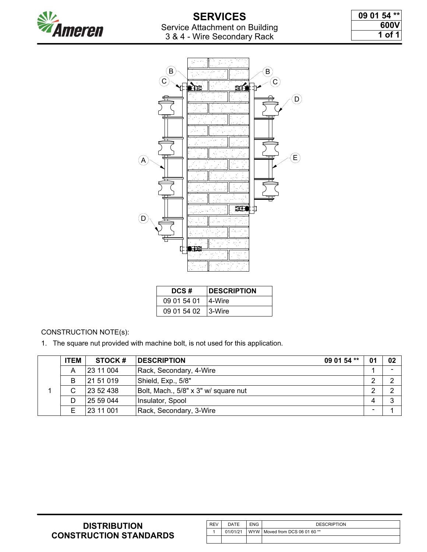

| 09 01 54 ** |  |        |
|-------------|--|--------|
|             |  | 600V   |
|             |  | 1 of 1 |



| DCS#               | <b>IDESCRIPTION</b> |
|--------------------|---------------------|
| 09 01 54 01        | ⊺4-Wire             |
| 09 01 54 02 3-Wire |                     |

1. The square nut provided with machine bolt, is not used for this application.

| <b>ITEM</b> | <b>STOCK#</b> | <b>DESCRIPTION</b><br>09 01 54 **    | 01                       | 02 |
|-------------|---------------|--------------------------------------|--------------------------|----|
| A           | 23 11 004     | Rack, Secondary, 4-Wire              |                          | ۰  |
| B           | 21 51 019     | Shield, Exp., 5/8"                   | റ                        | ⌒  |
| С           | 23 52 438     | Bolt, Mach., 5/8" x 3" w/ square nut | റ                        | ົ  |
| D           | 25 59 044     | Insulator, Spool                     | 4                        | ົ  |
| E           | 23 11 001     | Rack, Secondary, 3-Wire              | $\overline{\phantom{a}}$ |    |

| <b>REV</b> | DATE     | <b>ENG</b> | <b>DESCRIPTION</b>            |
|------------|----------|------------|-------------------------------|
|            | 01/01/21 |            | WYW Moved from DCS 06 01 60** |
|            |          |            |                               |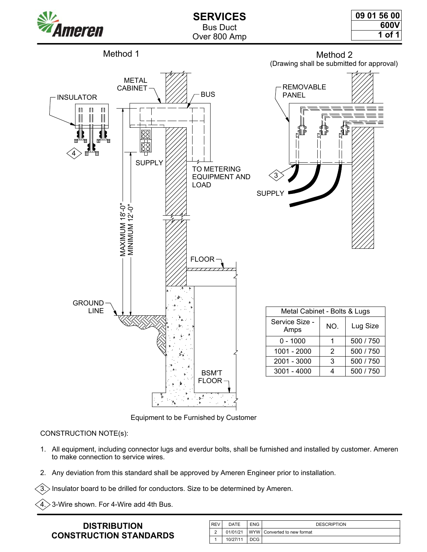



Equipment to be Furnished by Customer

- 1. All equipment, including connector lugs and everdur bolts, shall be furnished and installed by customer. Ameren to make connection to service wires.
- 2. Any deviation from this standard shall be approved by Ameren Engineer prior to installation.

Insulator board to be drilled for conductors. Size to be determined by Ameren.

 $4$   $\!>$  3-Wire shown. For 4-Wire add 4th Bus.

| <b>REV</b> | DATE     | <b>ENG</b> | <b>DESCRIPTION</b>            |
|------------|----------|------------|-------------------------------|
| $\sim$     | 01/01/21 |            | WYW   Converted to new format |
|            | 10/27/11 | DCG        |                               |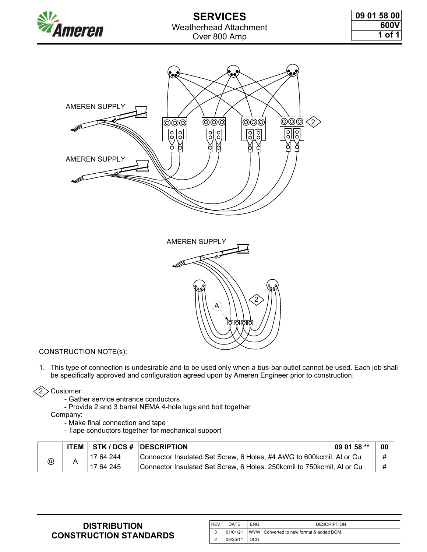



1. This type of connection is undesirable and to be used only when a bus-bar outlet cannot be used. Each job shall be specifically approved and configuration agreed upon by Ameren Engineer prior to construction.

## $\langle 2 \rangle$  Customer:

- Gather service entrance conductors
- Provide 2 and 3 barrel NEMA 4-hole lugs and bolt together

Company:

- Make final connection and tape
- Tape conductors together for mechanical support

|   | <b>ITEM</b>            |                                                                        | <b>STK / DCS #   DESCRIPTION</b>                                     | 09 01 58 $**$ | 00 |
|---|------------------------|------------------------------------------------------------------------|----------------------------------------------------------------------|---------------|----|
| @ | 17 64 244<br>17 64 245 |                                                                        | Connector Insulated Set Screw, 6 Holes, #4 AWG to 600kcmil, AI or Cu |               | #  |
|   |                        | Connector Insulated Set Screw, 6 Holes, 250kcmil to 750kcmil, AI or Cu |                                                                      | #             |    |

| <b>REV</b> | DATE     | <b>ENG</b> | <b>DESCRIPTION</b>                      |
|------------|----------|------------|-----------------------------------------|
| s          | 01/01/21 |            | WYW Converted to new format & added BOM |
|            | 08/25/11 | DCG        |                                         |